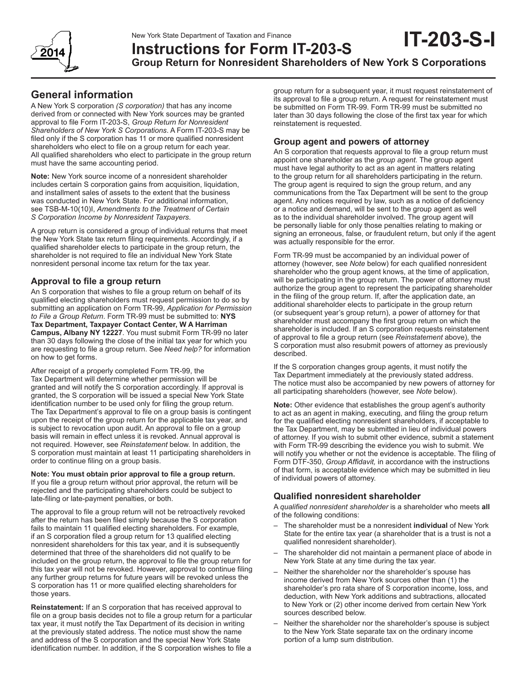New York State Department of Taxation and Finance



# **Instructions for Form IT-203-S**

**Group Return for Nonresident Shareholders of New York S Corporations**

### **General information**

A New York S corporation *(S corporation)* that has any income derived from or connected with New York sources may be granted approval to file Form IT-203-S, *Group Return for Nonresident Shareholders of New York S Corporations*. A Form IT-203-S may be filed only if the S corporation has 11 or more qualified nonresident shareholders who elect to file on a group return for each year. All qualified shareholders who elect to participate in the group return must have the same accounting period.

**Note:** New York source income of a nonresident shareholder includes certain S corporation gains from acquisition, liquidation, and installment sales of assets to the extent that the business was conducted in New York State. For additional information, see TSB-M-10(10)I, *Amendments to the Treatment of Certain S Corporation Income by Nonresident Taxpayers*.

A group return is considered a group of individual returns that meet the New York State tax return filing requirements. Accordingly, if a qualified shareholder elects to participate in the group return, the shareholder is not required to file an individual New York State nonresident personal income tax return for the tax year.

### **Approval to file a group return**

An S corporation that wishes to file a group return on behalf of its qualified electing shareholders must request permission to do so by submitting an application on Form TR-99, *Application for Permission to File a Group Return*. Form TR-99 must be submitted to: **NYS Tax Department, Taxpayer Contact Center, W A Harriman Campus, Albany NY 12227**. You must submit Form TR-99 no later than 30 days following the close of the initial tax year for which you are requesting to file a group return. See *Need help?* for information on how to get forms.

After receipt of a properly completed Form TR-99, the Tax Department will determine whether permission will be granted and will notify the S corporation accordingly. If approval is granted, the S corporation will be issued a special New York State identification number to be used only for filing the group return. The Tax Department's approval to file on a group basis is contingent upon the receipt of the group return for the applicable tax year, and is subject to revocation upon audit. An approval to file on a group basis will remain in effect unless it is revoked. Annual approval is not required. However, see *Reinstatement* below. In addition, the S corporation must maintain at least 11 participating shareholders in order to continue filing on a group basis.

**Note: You must obtain prior approval to file a group return.** If you file a group return without prior approval, the return will be rejected and the participating shareholders could be subject to late-filing or late-payment penalties, or both.

The approval to file a group return will not be retroactively revoked after the return has been filed simply because the S corporation fails to maintain 11 qualified electing shareholders. For example, if an S corporation filed a group return for 13 qualified electing nonresident shareholders for this tax year, and it is subsequently determined that three of the shareholders did not qualify to be included on the group return, the approval to file the group return for this tax year will not be revoked. However, approval to continue filing any further group returns for future years will be revoked unless the S corporation has 11 or more qualified electing shareholders for those years.

**Reinstatement:** If an S corporation that has received approval to file on a group basis decides not to file a group return for a particular tax year, it must notify the Tax Department of its decision in writing at the previously stated address. The notice must show the name and address of the S corporation and the special New York State identification number. In addition, if the S corporation wishes to file a

group return for a subsequent year, it must request reinstatement of its approval to file a group return. A request for reinstatement must be submitted on Form TR-99. Form TR‑99 must be submitted no later than 30 days following the close of the first tax year for which reinstatement is requested.

**IT-203-S-I**

### **Group agent and powers of attorney**

An S corporation that requests approval to file a group return must appoint one shareholder as the *group agent.* The group agent must have legal authority to act as an agent in matters relating to the group return for all shareholders participating in the return. The group agent is required to sign the group return, and any communications from the Tax Department will be sent to the group agent. Any notices required by law, such as a notice of deficiency or a notice and demand, will be sent to the group agent as well as to the individual shareholder involved. The group agent will be personally liable for only those penalties relating to making or signing an erroneous, false, or fraudulent return, but only if the agent was actually responsible for the error.

Form TR‑99 must be accompanied by an individual power of attorney (however, see *Note* below) for each qualified nonresident shareholder who the group agent knows, at the time of application, will be participating in the group return. The power of attorney must authorize the group agent to represent the participating shareholder in the filing of the group return. If, after the application date, an additional shareholder elects to participate in the group return (or subsequent year's group return), a power of attorney for that shareholder must accompany the first group return on which the shareholder is included. If an S corporation requests reinstatement of approval to file a group return (see *Reinstatement* above), the S corporation must also resubmit powers of attorney as previously described.

If the S corporation changes group agents, it must notify the Tax Department immediately at the previously stated address. The notice must also be accompanied by new powers of attorney for all participating shareholders (however, see *Note* below).

**Note:** Other evidence that establishes the group agent's authority to act as an agent in making, executing, and filing the group return for the qualified electing nonresident shareholders, if acceptable to the Tax Department, may be submitted in lieu of individual powers of attorney. If you wish to submit other evidence, submit a statement with Form TR‑99 describing the evidence you wish to submit. We will notify you whether or not the evidence is acceptable. The filing of Form DTF‑350, *Group Affidavit,* in accordance with the instructions of that form, is acceptable evidence which may be submitted in lieu of individual powers of attorney.

### **Qualified nonresident shareholder**

A *qualified nonresident shareholder* is a shareholder who meets **all** of the following conditions:

- The shareholder must be a nonresident **individual** of New York State for the entire tax year (a shareholder that is a trust is not a qualified nonresident shareholder).
- The shareholder did not maintain a permanent place of abode in New York State at any time during the tax year.
- Neither the shareholder nor the shareholder's spouse has income derived from New York sources other than (1) the shareholder's pro rata share of S corporation income, loss, and deduction, with New York additions and subtractions, allocated to New York or (2) other income derived from certain New York sources described below.
- Neither the shareholder nor the shareholder's spouse is subject to the New York State separate tax on the ordinary income portion of a lump sum distribution.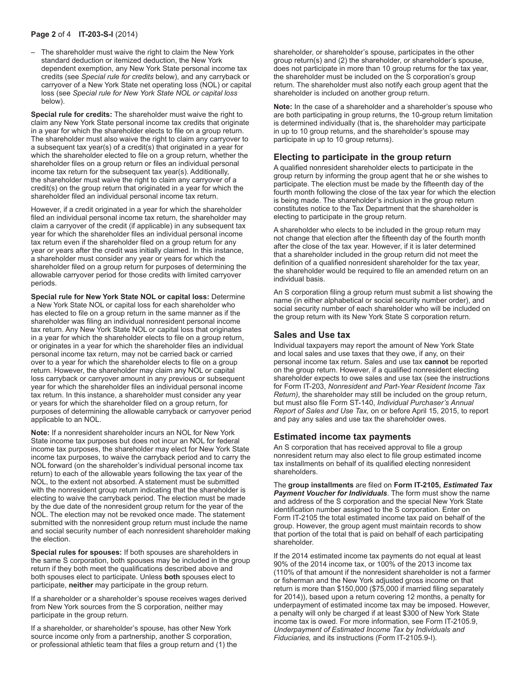### **Page 2** of 4 **IT-203-S-I** (2014)

– The shareholder must waive the right to claim the New York standard deduction or itemized deduction, the New York dependent exemption, any New York State personal income tax credits (see *Special rule for credits* below), and any carryback or carryover of a New York State net operating loss (NOL) or capital loss (see *Special rule for New York State NOL or capital loss* below).

**Special rule for credits:** The shareholder must waive the right to claim any New York State personal income tax credits that originate in a year for which the shareholder elects to file on a group return. The shareholder must also waive the right to claim any carryover to a subsequent tax year(s) of a credit(s) that originated in a year for which the shareholder elected to file on a group return, whether the shareholder files on a group return or files an individual personal income tax return for the subsequent tax year(s). Additionally, the shareholder must waive the right to claim any carryover of a credit(s) on the group return that originated in a year for which the shareholder filed an individual personal income tax return.

However, if a credit originated in a year for which the shareholder filed an individual personal income tax return, the shareholder may claim a carryover of the credit (if applicable) in any subsequent tax year for which the shareholder files an individual personal income tax return even if the shareholder filed on a group return for any year or years after the credit was initially claimed. In this instance, a shareholder must consider any year or years for which the shareholder filed on a group return for purposes of determining the allowable carryover period for those credits with limited carryover periods.

**Special rule for New York State NOL or capital loss:** Determine a New York State NOL or capital loss for each shareholder who has elected to file on a group return in the same manner as if the shareholder was filing an individual nonresident personal income tax return. Any New York State NOL or capital loss that originates in a year for which the shareholder elects to file on a group return, or originates in a year for which the shareholder files an individual personal income tax return, may not be carried back or carried over to a year for which the shareholder elects to file on a group return. However, the shareholder may claim any NOL or capital loss carryback or carryover amount in any previous or subsequent year for which the shareholder files an individual personal income tax return. In this instance, a shareholder must consider any year or years for which the shareholder filed on a group return, for purposes of determining the allowable carryback or carryover period applicable to an NOL.

**Note:** If a nonresident shareholder incurs an NOL for New York State income tax purposes but does not incur an NOL for federal income tax purposes, the shareholder may elect for New York State income tax purposes, to waive the carryback period and to carry the NOL forward (on the shareholder's individual personal income tax return) to each of the allowable years following the tax year of the NOL, to the extent not absorbed. A statement must be submitted with the nonresident group return indicating that the shareholder is electing to waive the carryback period. The election must be made by the due date of the nonresident group return for the year of the NOL. The election may not be revoked once made. The statement submitted with the nonresident group return must include the name and social security number of each nonresident shareholder making the election.

**Special rules for spouses:** If both spouses are shareholders in the same S corporation, both spouses may be included in the group return if they both meet the qualifications described above and both spouses elect to participate. Unless **both** spouses elect to participate, **neither** may participate in the group return.

If a shareholder or a shareholder's spouse receives wages derived from New York sources from the S corporation, neither may participate in the group return.

If a shareholder, or shareholder's spouse, has other New York source income only from a partnership, another S corporation, or professional athletic team that files a group return and (1) the

shareholder, or shareholder's spouse, participates in the other group return(s) and (2) the shareholder, or shareholder's spouse, does not participate in more than 10 group returns for the tax year, the shareholder must be included on the S corporation's group return. The shareholder must also notify each group agent that the shareholder is included on another group return.

**Note:** In the case of a shareholder and a shareholder's spouse who are both participating in group returns, the 10‑group return limitation is determined individually (that is, the shareholder may participate in up to 10 group returns, and the shareholder's spouse may participate in up to 10 group returns).

### **Electing to participate in the group return**

A qualified nonresident shareholder elects to participate in the group return by informing the group agent that he or she wishes to participate. The election must be made by the fifteenth day of the fourth month following the close of the tax year for which the election is being made. The shareholder's inclusion in the group return constitutes notice to the Tax Department that the shareholder is electing to participate in the group return.

A shareholder who elects to be included in the group return may not change that election after the fifteenth day of the fourth month after the close of the tax year. However, if it is later determined that a shareholder included in the group return did not meet the definition of a qualified nonresident shareholder for the tax year, the shareholder would be required to file an amended return on an individual basis.

An S corporation filing a group return must submit a list showing the name (in either alphabetical or social security number order), and social security number of each shareholder who will be included on the group return with its New York State S corporation return.

### **Sales and Use tax**

Individual taxpayers may report the amount of New York State and local sales and use taxes that they owe, if any, on their personal income tax return. Sales and use tax **cannot** be reported on the group return. However, if a qualified nonresident electing shareholder expects to owe sales and use tax (see the instructions for Form IT‑203, *Nonresident and Part‑Year Resident Income Tax Return)*, the shareholder may still be included on the group return, but must also file Form ST‑140, *Individual Purchaser's Annual Report of Sales and Use Tax,* on or before April 15, 2015, to report and pay any sales and use tax the shareholder owes.

#### **Estimated income tax payments**

An S corporation that has received approval to file a group nonresident return may also elect to file group estimated income tax installments on behalf of its qualified electing nonresident shareholders.

The **group installments** are filed on **Form IT-2105,** *Estimated Tax Payment Voucher for Individuals*. The form must show the name and address of the S corporation and the special New York State identification number assigned to the S corporation. Enter on Form IT‑2105 the total estimated income tax paid on behalf of the group. However, the group agent must maintain records to show that portion of the total that is paid on behalf of each participating shareholder.

If the 2014 estimated income tax payments do not equal at least 90% of the 2014 income tax, or 100% of the 2013 income tax (110% of that amount if the nonresident shareholder is not a farmer or fisherman and the New York adjusted gross income on that return is more than \$150,000 (\$75,000 if married filing separately for 2014)), based upon a return covering 12 months, a penalty for underpayment of estimated income tax may be imposed. However, a penalty will only be charged if at least \$300 of New York State income tax is owed. For more information, see Form IT‑2105.9, *Underpayment of Estimated Income Tax by Individuals and Fiduciaries,* and its instructions (Form IT-2105.9-I).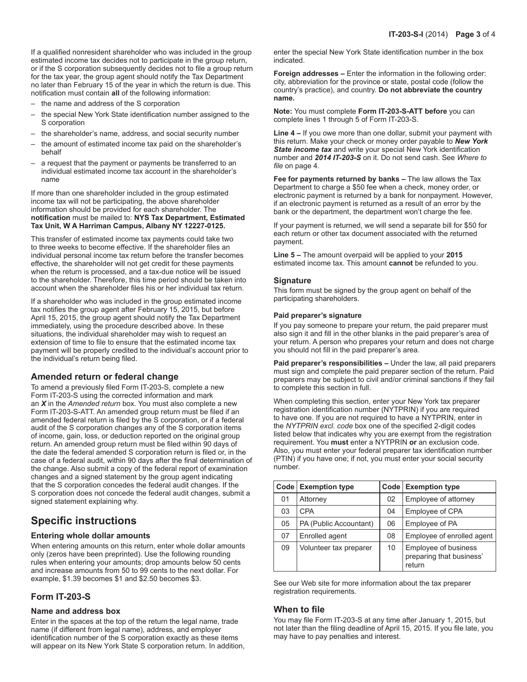If a qualified nonresident shareholder who was included in the group estimated income tax decides not to participate in the group return, or if the S corporation subsequently decides not to file a group return for the tax year, the group agent should notify the Tax Department no later than February 15 of the year in which the return is due. This notification must contain **all** of the following information:

- the name and address of the S corporation
- the special New York State identification number assigned to the S corporation
- the shareholder's name, address, and social security number
- the amount of estimated income tax paid on the shareholder's behalf
- a request that the payment or payments be transferred to an individual estimated income tax account in the shareholder's name

If more than one shareholder included in the group estimated income tax will not be participating, the above shareholder information should be provided for each shareholder. The **notification** must be mailed to: **NYS Tax Department, Estimated Tax Unit, W A Harriman Campus, Albany NY 12227-0125.**

This transfer of estimated income tax payments could take two to three weeks to become effective. If the shareholder files an individual personal income tax return before the transfer becomes effective, the shareholder will not get credit for these payments when the return is processed, and a tax-due notice will be issued to the shareholder. Therefore, this time period should be taken into account when the shareholder files his or her individual tax return.

If a shareholder who was included in the group estimated income tax notifies the group agent after February 15, 2015, but before April 15, 2015, the group agent should notify the Tax Department immediately, using the procedure described above. In these situations, the individual shareholder may wish to request an extension of time to file to ensure that the estimated income tax payment will be properly credited to the individual's account prior to the individual's return being filed.

### **Amended return or federal change**

To amend a previously filed Form IT-203-S, complete a new Form IT-203-S using the corrected information and mark an *X* in the *Amended return* box. You must also complete a new Form IT-203-S-ATT. An amended group return must be filed if an amended federal return is filed by the S corporation, or if a federal audit of the S corporation changes any of the S corporation items of income, gain, loss, or deduction reported on the original group return. An amended group return must be filed within 90 days of the date the federal amended S corporation return is filed or, in the case of a federal audit, within 90 days after the final determination of the change. Also submit a copy of the federal report of examination changes and a signed statement by the group agent indicating that the S corporation concedes the federal audit changes. If the S corporation does not concede the federal audit changes, submit a signed statement explaining why.

## **Specific instructions**

### **Entering whole dollar amounts**

When entering amounts on this return, enter whole dollar amounts only (zeros have been preprinted). Use the following rounding rules when entering your amounts; drop amounts below 50 cents and increase amounts from 50 to 99 cents to the next dollar. For example, \$1.39 becomes \$1 and \$2.50 becomes \$3.

### **Form IT-203-S**

### **Name and address box**

Enter in the spaces at the top of the return the legal name, trade name (if different from legal name), address, and employer identification number of the S corporation exactly as these items will appear on its New York State S corporation return. In addition, enter the special New York State identification number in the box indicated.

**Foreign addresses –** Enter the information in the following order: city, abbreviation for the province or state, postal code (follow the country's practice), and country. **Do not abbreviate the country name.**

**Note:** You must complete **Form IT-203-S-ATT before** you can complete lines 1 through 5 of Form IT-203-S.

**Line 4 –** If you owe more than one dollar, submit your payment with this return. Make your check or money order payable to *New York State income tax* and write your special New York identification number and *2014 IT‑203‑S* on it. Do not send cash. See *Where to file* on page 4.

**Fee for payments returned by banks –** The law allows the Tax Department to charge a \$50 fee when a check, money order, or electronic payment is returned by a bank for nonpayment. However, if an electronic payment is returned as a result of an error by the bank or the department, the department won't charge the fee.

If your payment is returned, we will send a separate bill for \$50 for each return or other tax document associated with the returned payment.

**Line 5 –** The amount overpaid will be applied to your **2015**  estimated income tax. This amount **cannot** be refunded to you.

### **Signature**

This form must be signed by the group agent on behalf of the participating shareholders.

#### **Paid preparer's signature**

If you pay someone to prepare your return, the paid preparer must also sign it and fill in the other blanks in the paid preparer's area of your return. A person who prepares your return and does not charge you should not fill in the paid preparer's area.

**Paid preparer's responsibilities –** Under the law, all paid preparers must sign and complete the paid preparer section of the return. Paid preparers may be subject to civil and/or criminal sanctions if they fail to complete this section in full.

When completing this section, enter your New York tax preparer registration identification number (NYTPRIN) if you are required to have one. If you are not required to have a NYTPRIN, enter in the *NYTPRIN excl. code* box one of the specified 2-digit codes listed below that indicates why you are exempt from the registration requirement. You **must** enter a NYTPRIN **or** an exclusion code. Also, you must enter your federal preparer tax identification number (PTIN) if you have one; if not, you must enter your social security number.

| Code <sub>1</sub> | <b>Exemption type</b>  |    | Code   Exemption type                                      |
|-------------------|------------------------|----|------------------------------------------------------------|
| 01                | Attorney               | 02 | Employee of attorney                                       |
| 03                | <b>CPA</b>             | 04 | Employee of CPA                                            |
| 05                | PA (Public Accountant) | 06 | Employee of PA                                             |
| 07                | Enrolled agent         | 08 | Employee of enrolled agent                                 |
| 09                | Volunteer tax preparer | 10 | Employee of business<br>preparing that business'<br>return |

See our Web site for more information about the tax preparer registration requirements.

### **When to file**

You may file Form IT‑203‑S at any time after January 1, 2015, but not later than the filing deadline of April 15, 2015. If you file late, you may have to pay penalties and interest.